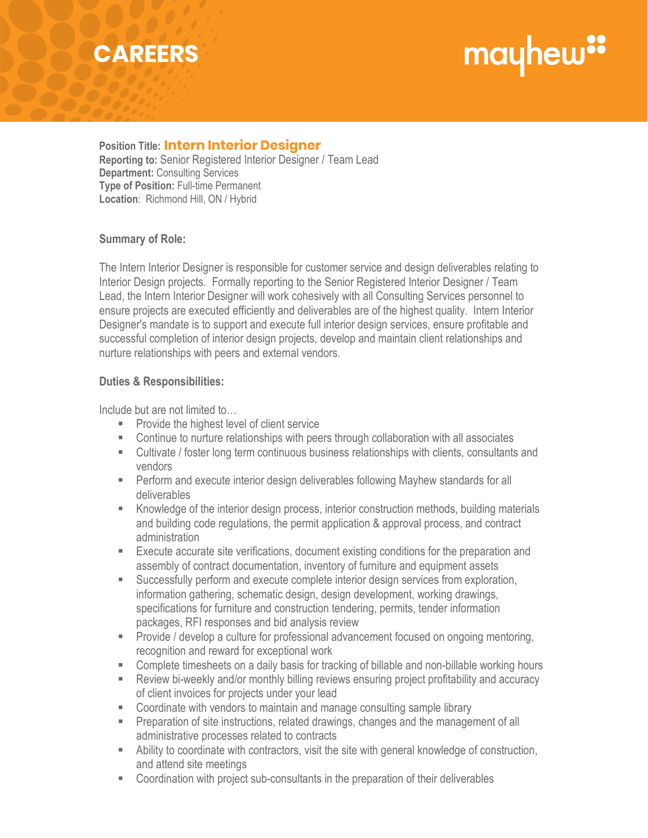## **CAREERS**

# mayhew"

**Position Title: Intern Interior Designer Intern Interior Designer Reporting to:** Senior Registered Interior Designer / Team Lead **Department:** Consulting Services **Type of Position:** Full-time Permanent **Location**: Richmond Hill, ON / Hybrid

#### **Summary of Role:**

The Intern Interior Designer is responsible for customer service and design deliverables relating to Interior Design projects. Formally reporting to the Senior Registered Interior Designer / Team Lead, the Intern Interior Designer will work cohesively with all Consulting Services personnel to ensure projects are executed efficiently and deliverables are of the highest quality. Intern Interior Designer's mandate is to support and execute full interior design services, ensure profitable and successful completion of interior design projects, develop and maintain client relationships and nurture relationships with peers and external vendors.

#### **Duties & Responsibilities:**

Include but are not limited to…

- **Provide the highest level of client service**
- Continue to nurture relationships with peers through collaboration with all associates
- Cultivate / foster long term continuous business relationships with clients, consultants and vendors
- **Perform and execute interior design deliverables following Mayhew standards for all** deliverables
- Knowledge of the interior design process, interior construction methods, building materials and building code regulations, the permit application & approval process, and contract administration
- Execute accurate site verifications, document existing conditions for the preparation and assembly of contract documentation, inventory of furniture and equipment assets
- Successfully perform and execute complete interior design services from exploration, information gathering, schematic design, design development, working drawings, specifications for furniture and construction tendering, permits, tender information packages, RFI responses and bid analysis review
- **Provide / develop a culture for professional advancement focused on ongoing mentoring,** recognition and reward for exceptional work
- Complete timesheets on a daily basis for tracking of billable and non-billable working hours
- Review bi-weekly and/or monthly billing reviews ensuring project profitability and accuracy of client invoices for projects under your lead
- Coordinate with vendors to maintain and manage consulting sample library
- **Preparation of site instructions, related drawings, changes and the management of all** administrative processes related to contracts
- Ability to coordinate with contractors, visit the site with general knowledge of construction, and attend site meetings
- Coordination with project sub-consultants in the preparation of their deliverables